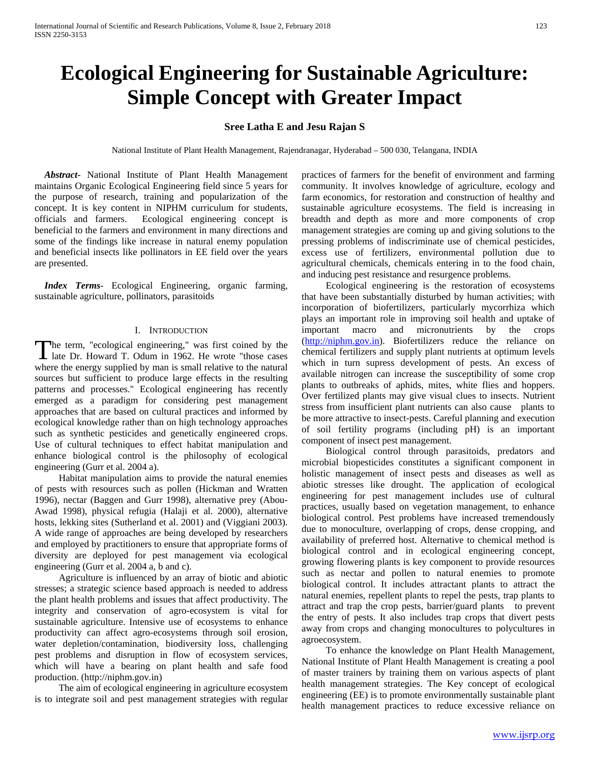# **Ecological Engineering for Sustainable Agriculture: Simple Concept with Greater Impact**

## **Sree Latha E and Jesu Rajan S**

National Institute of Plant Health Management, Rajendranagar, Hyderabad – 500 030, Telangana, INDIA

 *Abstract***-** National Institute of Plant Health Management maintains Organic Ecological Engineering field since 5 years for the purpose of research, training and popularization of the concept. It is key content in NIPHM curriculum for students, officials and farmers. Ecological engineering concept is beneficial to the farmers and environment in many directions and some of the findings like increase in natural enemy population and beneficial insects like pollinators in EE field over the years are presented.

 *Index Terms*- Ecological Engineering, organic farming, sustainable agriculture, pollinators, parasitoids

### I. INTRODUCTION

he term, "ecological engineering," was first coined by the The term, "ecological engineering," was first coined by the late Dr. Howard T. Odum in 1962. He wrote "those cases where the energy supplied by man is small relative to the natural sources but sufficient to produce large effects in the resulting patterns and processes." Ecological engineering has recently emerged as a paradigm for considering pest management approaches that are based on cultural practices and informed by ecological knowledge rather than on high technology approaches such as synthetic pesticides and genetically engineered crops. Use of cultural techniques to effect habitat manipulation and enhance biological control is the philosophy of ecological engineering (Gurr et al. 2004 a).

 Habitat manipulation aims to provide the natural enemies of pests with resources such as pollen (Hickman and Wratten 1996), nectar (Baggen and Gurr 1998), alternative prey (Abou-Awad 1998), physical refugia (Halaji et al. 2000), alternative hosts, lekking sites (Sutherland et al. 2001) and (Viggiani 2003). A wide range of approaches are being developed by researchers and employed by practitioners to ensure that appropriate forms of diversity are deployed for pest management via ecological engineering (Gurr et al. 2004 a, b and c).

 Agriculture is influenced by an array of biotic and abiotic stresses; a strategic science based approach is needed to address the plant health problems and issues that affect productivity. The integrity and conservation of agro-ecosystem is vital for sustainable agriculture. Intensive use of ecosystems to enhance productivity can affect agro-ecosystems through soil erosion, water depletion/contamination, biodiversity loss, challenging pest problems and disruption in flow of ecosystem services, which will have a bearing on plant health and safe food production. (http://niphm.gov.in)

 The aim of ecological engineering in agriculture ecosystem is to integrate soil and pest management strategies with regular practices of farmers for the benefit of environment and farming community. It involves knowledge of agriculture, ecology and farm economics, for restoration and construction of healthy and sustainable agriculture ecosystems. The field is increasing in breadth and depth as more and more components of crop management strategies are coming up and giving solutions to the pressing problems of indiscriminate use of chemical pesticides, excess use of fertilizers, environmental pollution due to agricultural chemicals, chemicals entering in to the food chain, and inducing pest resistance and resurgence problems.

 Ecological engineering is the restoration of ecosystems that have been substantially disturbed by human activities; with incorporation of biofertilizers, particularly mycorrhiza which plays an important role in improving soil health and uptake of important macro and micronutrients by the crops [\(http://niphm.gov.in\)](http://niphm.gov.in/). Biofertilizers reduce the reliance on chemical fertilizers and supply plant nutrients at optimum levels which in turn supress development of pests. An excess of available nitrogen can increase the susceptibility of some crop plants to outbreaks of aphids, mites, white flies and hoppers. Over fertilized plants may give visual clues to insects. Nutrient stress from insufficient plant nutrients can also cause plants to be more attractive to insect-pests. Careful planning and execution of soil fertility programs (including pH) is an important component of insect pest management.

 Biological control through parasitoids, predators and microbial biopesticides constitutes a significant component in holistic management of insect pests and diseases as well as abiotic stresses like drought. The application of ecological engineering for pest management includes use of cultural practices, usually based on vegetation management, to enhance biological control. Pest problems have increased tremendously due to monoculture, overlapping of crops, dense cropping, and availability of preferred host. Alternative to chemical method is biological control and in ecological engineering concept, growing flowering plants is key component to provide resources such as nectar and pollen to natural enemies to promote biological control. It includes attractant plants to attract the natural enemies, repellent plants to repel the pests, trap plants to attract and trap the crop pests, barrier/guard plants to prevent the entry of pests. It also includes trap crops that divert pests away from crops and changing monocultures to polycultures in agroecosystem.

 To enhance the knowledge on Plant Health Management, National Institute of Plant Health Management is creating a pool of master trainers by training them on various aspects of plant health management strategies. The Key concept of ecological engineering (EE) is to promote environmentally sustainable plant health management practices to reduce excessive reliance on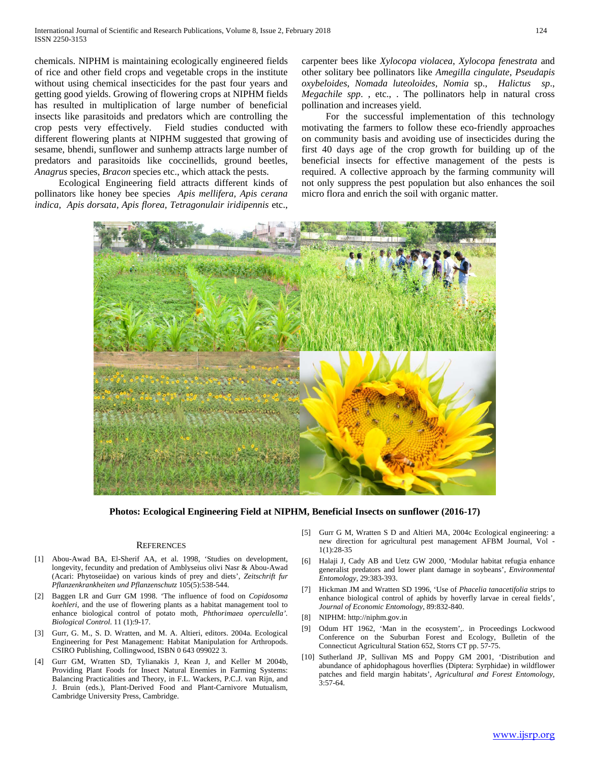chemicals. NIPHM is maintaining ecologically engineered fields of rice and other field crops and vegetable crops in the institute without using chemical insecticides for the past four years and getting good yields. Growing of flowering crops at NIPHM fields has resulted in multiplication of large number of beneficial insects like parasitoids and predators which are controlling the crop pests very effectively. Field studies conducted with different flowering plants at NIPHM suggested that growing of sesame, bhendi, sunflower and sunhemp attracts large number of predators and parasitoids like coccinellids, ground beetles, *Anagrus* species, *Bracon* species etc., which attack the pests.

 Ecological Engineering field attracts different kinds of pollinators like honey bee species *Apis mellifera, Apis cerana indica, Apis dorsata, Apis florea, Tetragonulair iridipennis* etc.,

carpenter bees like *Xylocopa violacea*, *Xylocopa fenestrata* and other solitary bee pollinators like *Amegilla cingulate, Pseudapis oxybeloides*, *Nomada luteoloides, Nomia* sp., *Halictus sp*., *Megachile spp*. , etc., . The pollinators help in natural cross pollination and increases yield.

 For the successful implementation of this technology motivating the farmers to follow these eco-friendly approaches on community basis and avoiding use of insecticides during the first 40 days age of the crop growth for building up of the beneficial insects for effective management of the pests is required. A collective approach by the farming community will not only suppress the pest population but also enhances the soil micro flora and enrich the soil with organic matter.



**Photos: Ecological Engineering Field at NIPHM, Beneficial Insects on sunflower (2016-17)**

#### **REFERENCES**

- [1] Abou-Awad BA, El-Sherif AA, et al. 1998, 'Studies on development, longevity, fecundity and predation of Amblyseius olivi Nasr & Abou-Awad (Acari: Phytoseiidae) on various kinds of prey and diets', *Zeitschrift fur Pflanzenkrankheiten und Pflanzenschutz* 105(5):538-544.
- [2] Baggen LR and Gurr GM 1998. 'The influence of food on *Copidosoma koehleri*, and the use of flowering plants as a habitat management tool to enhance biological control of potato moth, *Phthorimaea operculella'. Biological Control*. 11 (1):9-17.
- [3] Gurr, G. M., S. D. Wratten, and M. A. Altieri, editors. 2004a. Ecological Engineering for Pest Management: Habitat Manipulation for Arthropods. CSIRO Publishing, Collingwood, ISBN 0 643 099022 3.
- [4] Gurr GM, Wratten SD, Tylianakis J, Kean J, and Keller M 2004b, Providing Plant Foods for Insect Natural Enemies in Farming Systems: Balancing Practicalities and Theory, in F.L. Wackers, P.C.J. van Rijn, and J. Bruin (eds.), Plant-Derived Food and Plant-Carnivore Mutualism, Cambridge University Press, Cambridge.
- [5] Gurr G M, Wratten S D and Altieri MA, 2004c Ecological engineering: a new direction for agricultural pest management AFBM Journal, Vol - 1(1):28-35
- [6] Halaji J, Cady AB and Uetz GW 2000, 'Modular habitat refugia enhance generalist predators and lower plant damage in soybeans', *Environmental Entomology*, 29:383-393.
- [7] Hickman JM and Wratten SD 1996, 'Use of *Phacelia tanacetifolia* strips to enhance biological control of aphids by hoverfly larvae in cereal fields', *Journal of Economic Entomology*, 89:832-840.
- [8] NIPHM: http://niphm.gov.in
- [9] Odum HT 1962, 'Man in the ecosystem',. in Proceedings Lockwood Conference on the Suburban Forest and Ecology, Bulletin of the Connecticut Agricultural Station 652, Storrs CT pp. 57-75.
- [10] Sutherland JP, Sullivan MS and Poppy GM 2001, 'Distribution and abundance of aphidophagous hoverflies (Diptera: Syrphidae) in wildflower patches and field margin habitats', *Agricultural and Forest Entomology*, 3:57-64.